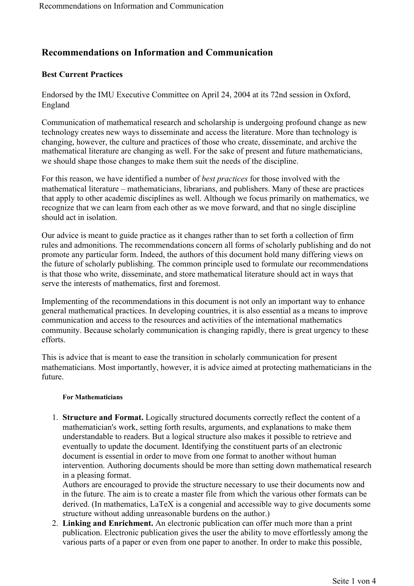# **Recommendations on Information and Communication**

# **Best Current Practices**

Endorsed by the IMU Executive Committee on April 24, 2004 at its 72nd session in Oxford, England

Communication of mathematical research and scholarship is undergoing profound change as new technology creates new ways to disseminate and access the literature. More than technology is changing, however, the culture and practices of those who create, disseminate, and archive the mathematical literature are changing as well. For the sake of present and future mathematicians, we should shape those changes to make them suit the needs of the discipline.

For this reason, we have identified a number of *best practices* for those involved with the mathematical literature – mathematicians, librarians, and publishers. Many of these are practices that apply to other academic disciplines as well. Although we focus primarily on mathematics, we recognize that we can learn from each other as we move forward, and that no single discipline should act in isolation.

Our advice is meant to guide practice as it changes rather than to set forth a collection of firm rules and admonitions. The recommendations concern all forms of scholarly publishing and do not promote any particular form. Indeed, the authors of this document hold many differing views on the future of scholarly publishing. The common principle used to formulate our recommendations is that those who write, disseminate, and store mathematical literature should act in ways that serve the interests of mathematics, first and foremost.

Implementing of the recommendations in this document is not only an important way to enhance general mathematical practices. In developing countries, it is also essential as a means to improve communication and access to the resources and activities of the international mathematics community. Because scholarly communication is changing rapidly, there is great urgency to these efforts.

This is advice that is meant to ease the transition in scholarly communication for present mathematicians. Most importantly, however, it is advice aimed at protecting mathematicians in the future.

# **For Mathematicians**

1. **Structure and Format.** Logically structured documents correctly reflect the content of a mathematician's work, setting forth results, arguments, and explanations to make them understandable to readers. But a logical structure also makes it possible to retrieve and eventually to update the document. Identifying the constituent parts of an electronic document is essential in order to move from one format to another without human intervention. Authoring documents should be more than setting down mathematical research in a pleasing format.

Authors are encouraged to provide the structure necessary to use their documents now and in the future. The aim is to create a master file from which the various other formats can be derived. (In mathematics, LaTeX is a congenial and accessible way to give documents some structure without adding unreasonable burdens on the author.)

2. **Linking and Enrichment.** An electronic publication can offer much more than a print publication. Electronic publication gives the user the ability to move effortlessly among the various parts of a paper or even from one paper to another. In order to make this possible,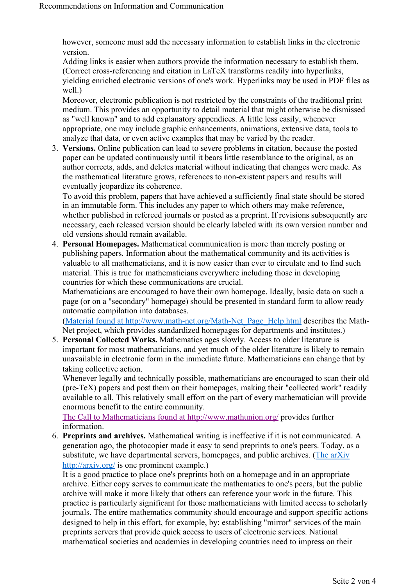however, someone must add the necessary information to establish links in the electronic version.

Adding links is easier when authors provide the information necessary to establish them. (Correct cross-referencing and citation in LaTeX transforms readily into hyperlinks, yielding enriched electronic versions of one's work. Hyperlinks may be used in PDF files as well.)

Moreover, electronic publication is not restricted by the constraints of the traditional print medium. This provides an opportunity to detail material that might otherwise be dismissed as "well known" and to add explanatory appendices. A little less easily, whenever appropriate, one may include graphic enhancements, animations, extensive data, tools to analyze that data, or even active examples that may be varied by the reader.

3. **Versions.** Online publication can lead to severe problems in citation, because the posted paper can be updated continuously until it bears little resemblance to the original, as an author corrects, adds, and deletes material without indicating that changes were made. As the mathematical literature grows, references to non-existent papers and results will eventually jeopardize its coherence.

To avoid this problem, papers that have achieved a sufficiently final state should be stored in an immutable form. This includes any paper to which others may make reference, whether published in refereed journals or posted as a preprint. If revisions subsequently are necessary, each released version should be clearly labeled with its own version number and old versions should remain available.

4. **Personal Homepages.** Mathematical communication is more than merely posting or publishing papers. Information about the mathematical community and its activities is valuable to all mathematicians, and it is now easier than ever to circulate and to find such material. This is true for mathematicians everywhere including those in developing countries for which these communications are crucial.

Mathematicians are encouraged to have their own homepage. Ideally, basic data on such a page (or on a "secondary" homepage) should be presented in standard form to allow ready automatic compilation into databases.

(Material found at http://www.math-net.org/Math-Net\_Page\_Help.html describes the Math-Net project, which provides standardized homepages for departments and institutes.)

5. **Personal Collected Works.** Mathematics ages slowly. Access to older literature is important for most mathematicians, and yet much of the older literature is likely to remain unavailable in electronic form in the immediate future. Mathematicians can change that by taking collective action.

Whenever legally and technically possible, mathematicians are encouraged to scan their old (pre-TeX) papers and post them on their homepages, making their "collected work" readily available to all. This relatively small effort on the part of every mathematician will provide enormous benefit to the entire community.

The Call to Mathematicians found at http://www.mathunion.org/ provides further information.

6. **Preprints and archives.** Mathematical writing is ineffective if it is not communicated. A generation ago, the photocopier made it easy to send preprints to one's peers. Today, as a substitute, we have departmental servers, homepages, and public archives. (The arXiv http://arxiv.org/ is one prominent example.)

It is a good practice to place one's preprints both on a homepage and in an appropriate archive. Either copy serves to communicate the mathematics to one's peers, but the public archive will make it more likely that others can reference your work in the future. This practice is particularly significant for those mathematicians with limited access to scholarly journals. The entire mathematics community should encourage and support specific actions designed to help in this effort, for example, by: establishing "mirror" services of the main preprints servers that provide quick access to users of electronic services. National mathematical societies and academies in developing countries need to impress on their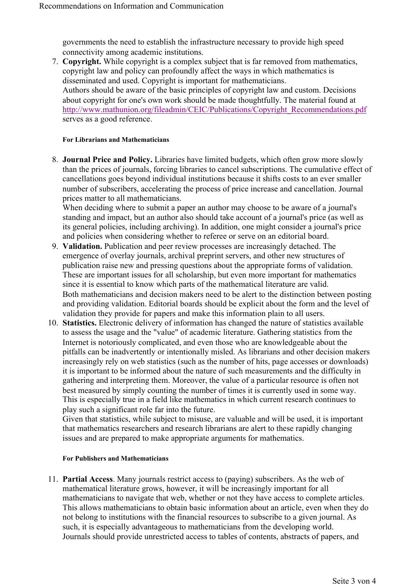governments the need to establish the infrastructure necessary to provide high speed connectivity among academic institutions.

7. **Copyright.** While copyright is a complex subject that is far removed from mathematics, copyright law and policy can profoundly affect the ways in which mathematics is disseminated and used. Copyright is important for mathematicians. Authors should be aware of the basic principles of copyright law and custom. Decisions about copyright for one's own work should be made thoughtfully. The material found at http://www.mathunion.org/fileadmin/CEIC/Publications/Copyright\_Recommendations.pdf serves as a good reference.

#### **For Librarians and Mathematicians**

8. **Journal Price and Policy.** Libraries have limited budgets, which often grow more slowly than the prices of journals, forcing libraries to cancel subscriptions. The cumulative effect of cancellations goes beyond individual institutions because it shifts costs to an ever smaller number of subscribers, accelerating the process of price increase and cancellation. Journal prices matter to all mathematicians.

When deciding where to submit a paper an author may choose to be aware of a journal's standing and impact, but an author also should take account of a journal's price (as well as its general policies, including archiving). In addition, one might consider a journal's price and policies when considering whether to referee or serve on an editorial board.

- 9. **Validation.** Publication and peer review processes are increasingly detached. The emergence of overlay journals, archival preprint servers, and other new structures of publication raise new and pressing questions about the appropriate forms of validation. These are important issues for all scholarship, but even more important for mathematics since it is essential to know which parts of the mathematical literature are valid. Both mathematicians and decision makers need to be alert to the distinction between posting and providing validation. Editorial boards should be explicit about the form and the level of validation they provide for papers and make this information plain to all users.
- 10. **Statistics.** Electronic delivery of information has changed the nature of statistics available to assess the usage and the "value" of academic literature. Gathering statistics from the Internet is notoriously complicated, and even those who are knowledgeable about the pitfalls can be inadvertently or intentionally misled. As librarians and other decision makers increasingly rely on web statistics (such as the number of hits, page accesses or downloads) it is important to be informed about the nature of such measurements and the difficulty in gathering and interpreting them. Moreover, the value of a particular resource is often not best measured by simply counting the number of times it is currently used in some way. This is especially true in a field like mathematics in which current research continues to play such a significant role far into the future.

Given that statistics, while subject to misuse, are valuable and will be used, it is important that mathematics researchers and research librarians are alert to these rapidly changing issues and are prepared to make appropriate arguments for mathematics.

# **For Publishers and Mathematicians**

11. **Partial Access**. Many journals restrict access to (paying) subscribers. As the web of mathematical literature grows, however, it will be increasingly important for all mathematicians to navigate that web, whether or not they have access to complete articles. This allows mathematicians to obtain basic information about an article, even when they do not belong to institutions with the financial resources to subscribe to a given journal. As such, it is especially advantageous to mathematicians from the developing world. Journals should provide unrestricted access to tables of contents, abstracts of papers, and